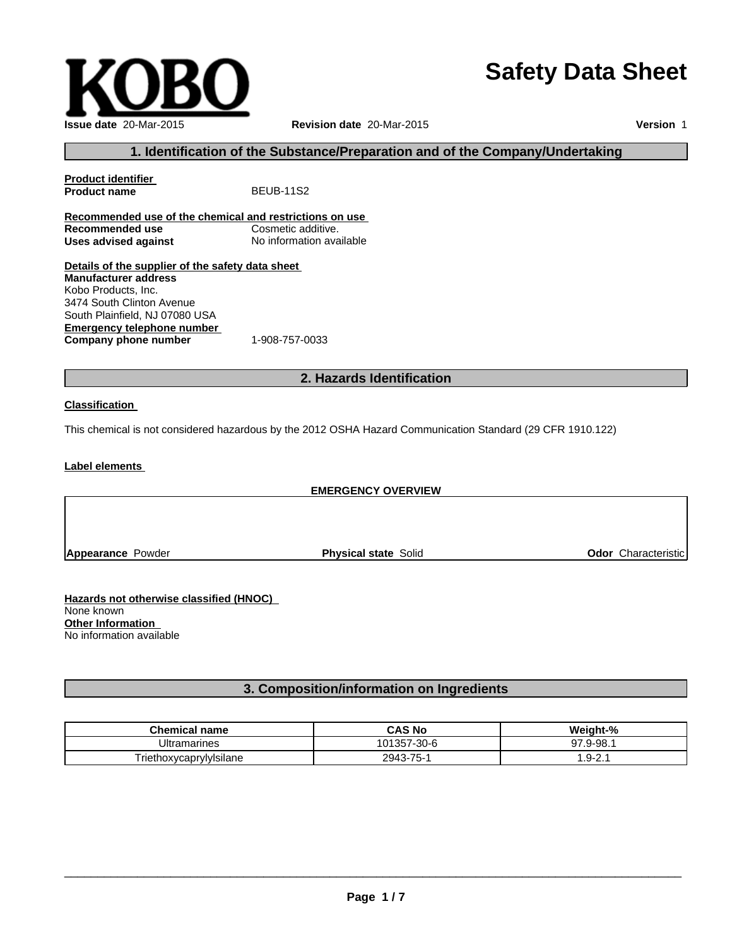# **Safety Data Sheet**



**Version** 1

## **1. Identification of the Substance/Preparation and of the Company/Undertaking**

**Product identifier Product name** BEUB-11S2 **Recommended use of the chemical and restrictions on use Recommended use Uses advised against** No information available **Details of the supplier of the safety data sheet Emergency telephone number Manufacturer address** Kobo Products, Inc. 3474 South Clinton Avenue South Plainfield, NJ 07080 USA

**Company phone number** 1-908-757-0033

## **2. Hazards Identification**

### **Classification**

This chemical is not considered hazardous by the 2012 OSHA Hazard Communication Standard (29 CFR 1910.122)

**Label elements**

## **EMERGENCY OVERVIEW**

**Appearance** Powder **Physical state** Solid **Odor** Characteristic

**Hazards not otherwise classified (HNOC)** None known **Other Information** No information available

## **3. Composition/information on Ingredients**

| <b>Chemical name</b>    | <b>CAS No</b> | Weight-%    |
|-------------------------|---------------|-------------|
| <b>Ultramarines</b>     | 101357-30-6   | 9-98.<br>97 |
| Friethoxycaprylylsilane | 2943-75-1     | ⌒<br>∴9-2.1 |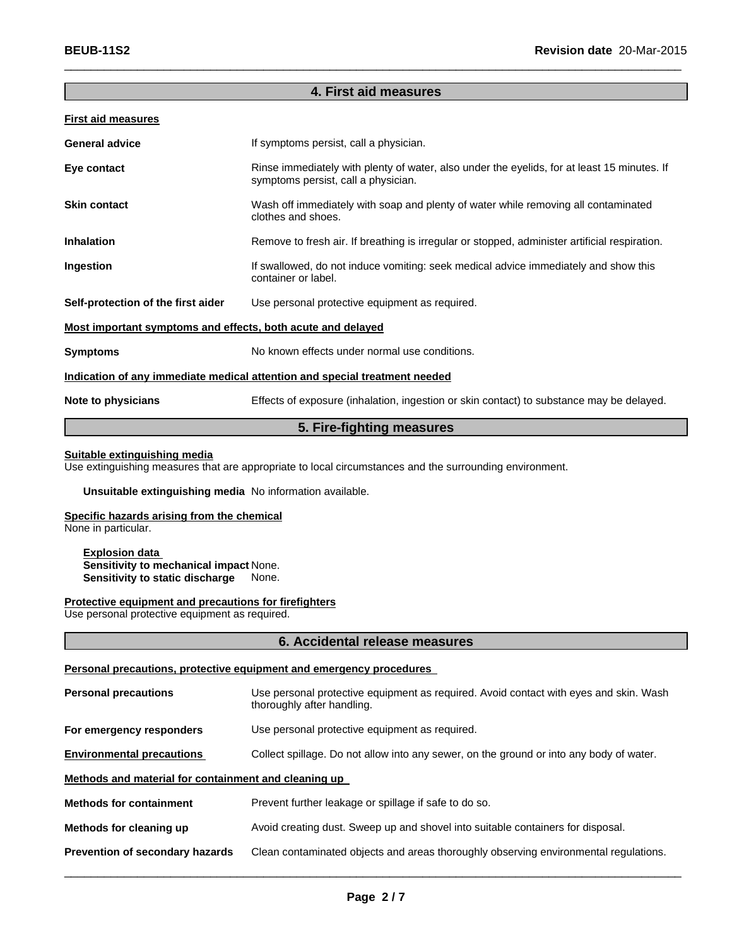## **4. First aid measures**

 $\_$  , and the set of the set of the set of the set of the set of the set of the set of the set of the set of the set of the set of the set of the set of the set of the set of the set of the set of the set of the set of th

#### **First aid measures**

| <b>General advice</b>                                                      | If symptoms persist, call a physician.                                                                                             |  |
|----------------------------------------------------------------------------|------------------------------------------------------------------------------------------------------------------------------------|--|
| Eye contact                                                                | Rinse immediately with plenty of water, also under the eyelids, for at least 15 minutes. If<br>symptoms persist, call a physician. |  |
| <b>Skin contact</b>                                                        | Wash off immediately with soap and plenty of water while removing all contaminated<br>clothes and shoes.                           |  |
| <b>Inhalation</b>                                                          | Remove to fresh air. If breathing is irregular or stopped, administer artificial respiration.                                      |  |
| Ingestion                                                                  | If swallowed, do not induce vomiting: seek medical advice immediately and show this<br>container or label.                         |  |
| Self-protection of the first aider                                         | Use personal protective equipment as required.                                                                                     |  |
| <u>Most important symptoms and effects, both acute and delayed</u>         |                                                                                                                                    |  |
| <b>Symptoms</b>                                                            | No known effects under normal use conditions.                                                                                      |  |
| Indication of any immediate medical attention and special treatment needed |                                                                                                                                    |  |
| Note to physicians                                                         | Effects of exposure (inhalation, ingestion or skin contact) to substance may be delayed.                                           |  |

## **5. Fire-fighting measures**

## **Suitable extinguishing media**

Use extinguishing measures that are appropriate to local circumstances and the surrounding environment.

## **Unsuitable extinguishing media** No information available.

## **Specific hazards arising from the chemical**

None in particular.

**Explosion data Sensitivity to mechanical impact** None. **Sensitivity to static discharge** None.

#### **Protective equipment and precautions for firefighters**

Use personal protective equipment as required.

#### **6. Accidental release measures**

#### **Personal precautions, protective equipment and emergency procedures**

| <b>Personal precautions</b>                          | Use personal protective equipment as required. Avoid contact with eyes and skin. Wash<br>thoroughly after handling. |  |  |
|------------------------------------------------------|---------------------------------------------------------------------------------------------------------------------|--|--|
| For emergency responders                             | Use personal protective equipment as required.                                                                      |  |  |
| <b>Environmental precautions</b>                     | Collect spillage. Do not allow into any sewer, on the ground or into any body of water.                             |  |  |
| Methods and material for containment and cleaning up |                                                                                                                     |  |  |
| <b>Methods for containment</b>                       | Prevent further leakage or spillage if safe to do so.                                                               |  |  |
| Methods for cleaning up                              | Avoid creating dust. Sweep up and shovel into suitable containers for disposal.                                     |  |  |
| Prevention of secondary hazards                      | Clean contaminated objects and areas thoroughly observing environmental regulations.                                |  |  |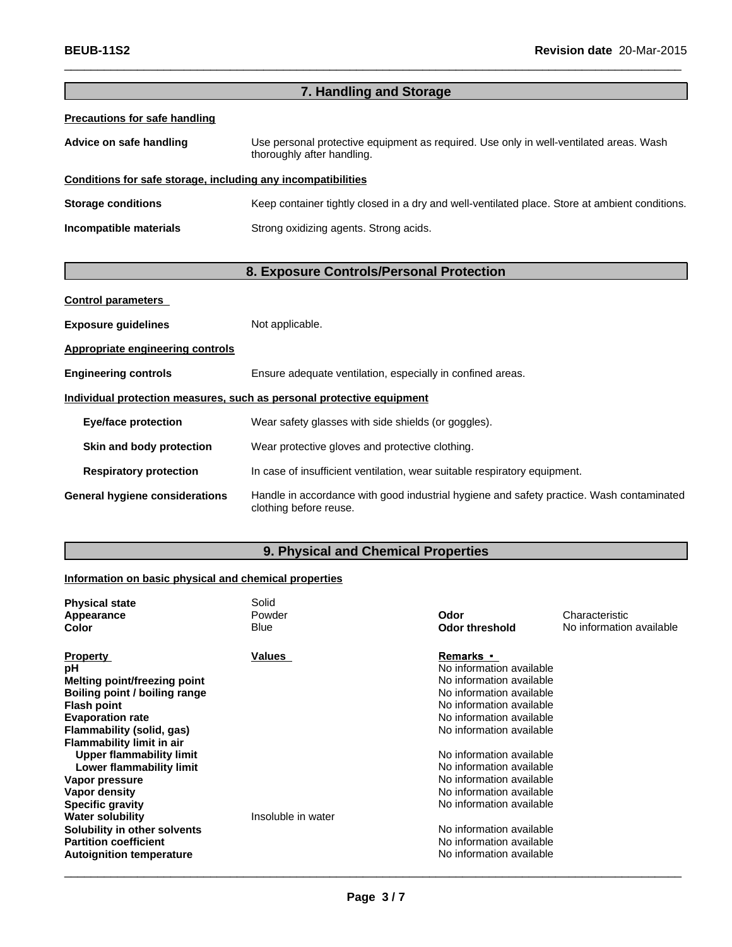| 7. Handling and Storage                                      |                                                                                                                      |  |
|--------------------------------------------------------------|----------------------------------------------------------------------------------------------------------------------|--|
| <b>Precautions for safe handling</b>                         |                                                                                                                      |  |
| Advice on safe handling                                      | Use personal protective equipment as required. Use only in well-ventilated areas. Wash<br>thoroughly after handling. |  |
| Conditions for safe storage, including any incompatibilities |                                                                                                                      |  |
| <b>Storage conditions</b>                                    | Keep container tightly closed in a dry and well-ventilated place. Store at ambient conditions.                       |  |
| Incompatible materials                                       | Strong oxidizing agents. Strong acids.                                                                               |  |
|                                                              |                                                                                                                      |  |

 $\_$  , and the set of the set of the set of the set of the set of the set of the set of the set of the set of the set of the set of the set of the set of the set of the set of the set of the set of the set of the set of th

# **8. Exposure Controls/Personal Protection**

| <b>Control parameters</b>                                             |                                                                                                                    |  |  |
|-----------------------------------------------------------------------|--------------------------------------------------------------------------------------------------------------------|--|--|
| <b>Exposure quidelines</b>                                            | Not applicable.                                                                                                    |  |  |
| Appropriate engineering controls                                      |                                                                                                                    |  |  |
| <b>Engineering controls</b>                                           | Ensure adequate ventilation, especially in confined areas.                                                         |  |  |
| Individual protection measures, such as personal protective equipment |                                                                                                                    |  |  |
| <b>Eye/face protection</b>                                            | Wear safety glasses with side shields (or goggles).                                                                |  |  |
| Skin and body protection                                              | Wear protective gloves and protective clothing.                                                                    |  |  |
| <b>Respiratory protection</b>                                         | In case of insufficient ventilation, wear suitable respiratory equipment.                                          |  |  |
| <b>General hygiene considerations</b>                                 | Handle in accordance with good industrial hygiene and safety practice. Wash contaminated<br>clothing before reuse. |  |  |

# **9. Physical and Chemical Properties**

## **Information on basic physical and chemical properties**

| <b>Physical state</b><br>Appearance<br>Color | Solid<br>Powder<br><b>Blue</b> | Odor<br><b>Odor threshold</b> | Characteristic<br>No information available |
|----------------------------------------------|--------------------------------|-------------------------------|--------------------------------------------|
|                                              |                                |                               |                                            |
| <b>Property</b>                              | Values                         | Remarks •                     |                                            |
| рH                                           |                                | No information available      |                                            |
| Melting point/freezing point                 |                                | No information available      |                                            |
| Boiling point / boiling range                |                                | No information available      |                                            |
| <b>Flash point</b>                           |                                | No information available      |                                            |
| <b>Evaporation rate</b>                      |                                | No information available      |                                            |
| Flammability (solid, gas)                    |                                | No information available      |                                            |
| <b>Flammability limit in air</b>             |                                |                               |                                            |
| <b>Upper flammability limit</b>              |                                | No information available      |                                            |
| Lower flammability limit                     |                                | No information available      |                                            |
| Vapor pressure                               |                                | No information available      |                                            |
| Vapor density                                |                                | No information available      |                                            |
| <b>Specific gravity</b>                      |                                | No information available      |                                            |
| <b>Water solubility</b>                      | Insoluble in water             |                               |                                            |
| Solubility in other solvents                 |                                | No information available      |                                            |
| <b>Partition coefficient</b>                 |                                | No information available      |                                            |
| <b>Autoignition temperature</b>              |                                | No information available      |                                            |
|                                              |                                |                               |                                            |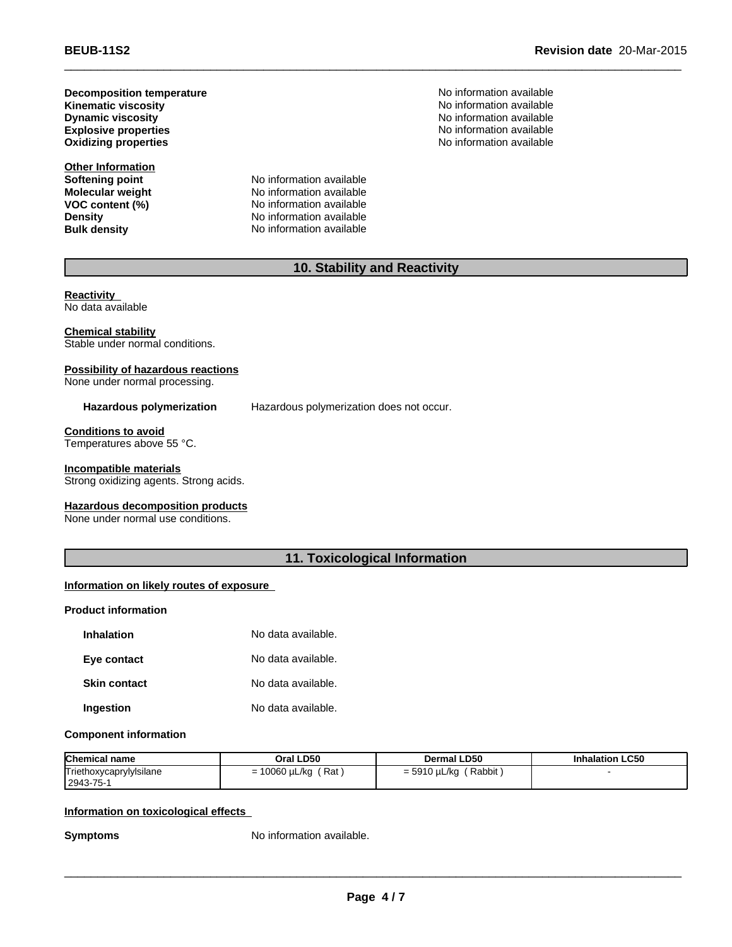**Kinematic viscosity Decomposition temperature Dynamic viscosity Explosive properties Oxidizing properties**

**Other Information**

**Softening point**<br> **Molecular weight**<br> **Molecular weight**<br> **Molecular weight**<br> **Molecular weight No information available VOC** content (%) No information available **Density Density No information available**<br> **Bulk density No information available No information available** 

No information available No information available<br>No information available No information available No information available

## **10. Stability and Reactivity**

 $\_$  , and the set of the set of the set of the set of the set of the set of the set of the set of the set of the set of the set of the set of the set of the set of the set of the set of the set of the set of the set of th

**Reactivity** No data available

**Chemical stability** Stable under normal conditions.

## **Possibility of hazardous reactions**

None under normal processing.

**Hazardous polymerization** Hazardous polymerization does not occur.

**Conditions to avoid** Temperatures above 55 °C.

**Incompatible materials**

Strong oxidizing agents. Strong acids.

**Hazardous decomposition products**

None under normal use conditions.

## **11. Toxicological Information**

## **Information on likely routes of exposure**

### **Product information**

| <b>Inhalation</b>   | No data available. |
|---------------------|--------------------|
| Eye contact         | No data available. |
| <b>Skin contact</b> | No data available. |
| Ingestion           | No data available. |

### **Component information**

| <b>Chemical name</b>                 | Oral LD50                  | <b>Dermal LD50</b>      | <b>Inhalation LC50</b> |
|--------------------------------------|----------------------------|-------------------------|------------------------|
| Triethoxycaprylylsilane<br>2943-75-1 | `Rat<br>10060 µL/kg<br>= 1 | Rabbit,<br>= 5910 µL/kg |                        |

### **Information on toxicological effects**

**Symptoms** No information available.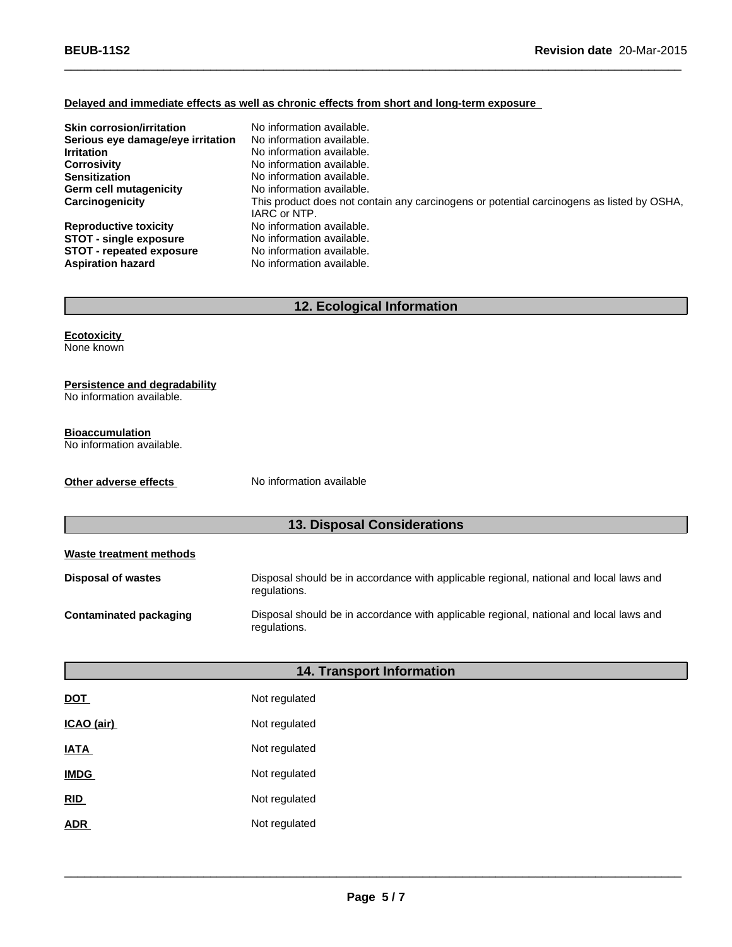## **Delayed and immediate effects as well as chronic effects from short and long-term exposure**

| <b>Skin corrosion/irritation</b><br>Serious eye damage/eye irritation<br><b>Irritation</b><br><b>Corrosivity</b><br><b>Sensitization</b><br>Germ cell mutagenicity | No information available.<br>No information available.<br>No information available.<br>No information available.<br>No information available.<br>No information available. |
|--------------------------------------------------------------------------------------------------------------------------------------------------------------------|----------------------------------------------------------------------------------------------------------------------------------------------------------------------------|
| Carcinogenicity                                                                                                                                                    | This product does not contain any carcinogens or potential carcinogens as listed by OSHA,<br>IARC or NTP.                                                                  |
| <b>Reproductive toxicity</b>                                                                                                                                       | No information available.                                                                                                                                                  |
| <b>STOT - single exposure</b>                                                                                                                                      | No information available.                                                                                                                                                  |
| <b>STOT - repeated exposure</b>                                                                                                                                    | No information available.                                                                                                                                                  |
| <b>Aspiration hazard</b>                                                                                                                                           | No information available.                                                                                                                                                  |

 $\_$  , and the set of the set of the set of the set of the set of the set of the set of the set of the set of the set of the set of the set of the set of the set of the set of the set of the set of the set of the set of th

## **12. Ecological Information**

**Ecotoxicity** None known

## **Persistence and degradability**

No information available.

#### **Bioaccumulation**

No information available.

**Other adverse effects** No information available

## **13. Disposal Considerations**

| Waste treatment methods   |                                                                                                        |
|---------------------------|--------------------------------------------------------------------------------------------------------|
| <b>Disposal of wastes</b> | Disposal should be in accordance with applicable regional, national and local laws and<br>regulations. |
| Contaminated packaging    | Disposal should be in accordance with applicable regional, national and local laws and<br>regulations. |

|                   | <b>14. Transport Information</b> |
|-------------------|----------------------------------|
| <u>DOT</u>        | Not regulated                    |
| <u>ICAO (air)</u> | Not regulated                    |
| <u>IATA</u>       | Not regulated                    |
| <b>IMDG</b>       | Not regulated                    |
| <u>RID</u>        | Not regulated                    |
| ADR               | Not regulated                    |
|                   |                                  |

 $\_$  ,  $\_$  ,  $\_$  ,  $\_$  ,  $\_$  ,  $\_$  ,  $\_$  ,  $\_$  ,  $\_$  ,  $\_$  ,  $\_$  ,  $\_$  ,  $\_$  ,  $\_$  ,  $\_$  ,  $\_$  ,  $\_$  ,  $\_$  ,  $\_$  ,  $\_$  ,  $\_$  ,  $\_$  ,  $\_$  ,  $\_$  ,  $\_$  ,  $\_$  ,  $\_$  ,  $\_$  ,  $\_$  ,  $\_$  ,  $\_$  ,  $\_$  ,  $\_$  ,  $\_$  ,  $\_$  ,  $\_$  ,  $\_$  ,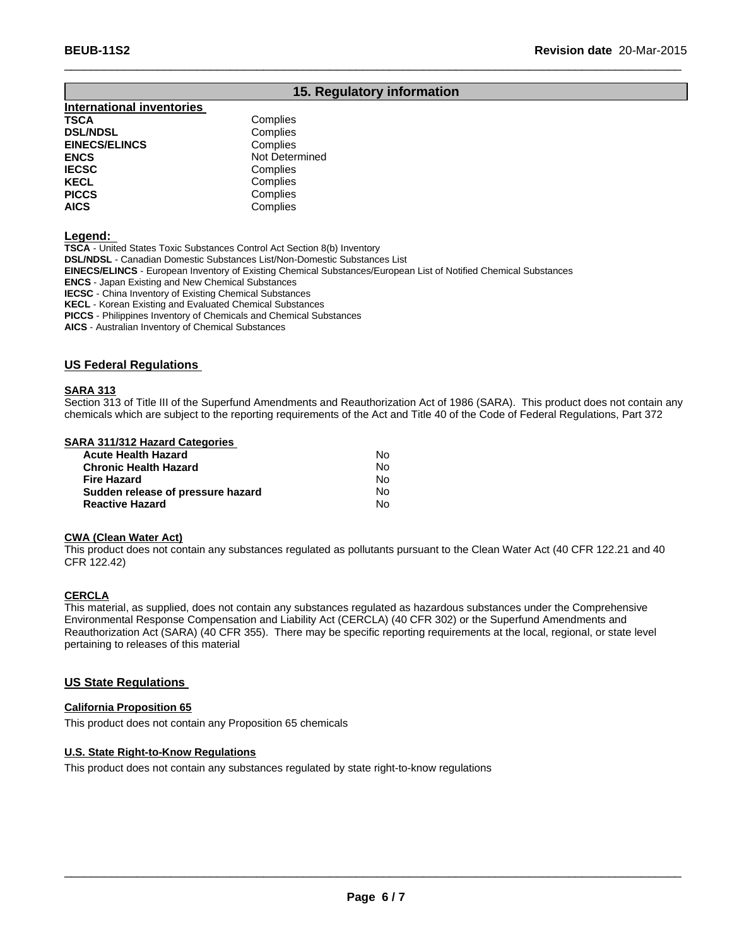## **15. Regulatory information**

 $\_$  , and the set of the set of the set of the set of the set of the set of the set of the set of the set of the set of the set of the set of the set of the set of the set of the set of the set of the set of the set of th

#### **International inventories TSCA** Complies<br> **DSL/NDSL** Complies **DSL/NDSL**<br> **EINECS/ELINCS EINECS/ELINCS Complies EINECS/ELINCS ENCS** Not Determined **IECSC** Complies<br> **IECEL** Complies **KECL Complies**<br> **PICCS** Complies **PICCS** Complies<br> **AICS** Complies **AICS** Complies

**Legend:**

**TSCA** - United States Toxic Substances Control Act Section 8(b) Inventory **DSL/NDSL** - Canadian Domestic Substances List/Non-Domestic Substances List **EINECS/ELINCS** - European Inventory of Existing Chemical Substances/European List of Notified Chemical Substances **ENCS** - Japan Existing and New Chemical Substances **IECSC** - China Inventory of Existing Chemical Substances **KECL** - Korean Existing and Evaluated Chemical Substances **PICCS** - Philippines Inventory of Chemicals and Chemical Substances

**AICS** - Australian Inventory of Chemical Substances

## **US Federal Regulations**

#### **SARA 313**

Section 313 of Title III of the Superfund Amendments and Reauthorization Act of 1986 (SARA). This product does not contain any chemicals which are subject to the reporting requirements of the Act and Title 40 of the Code of Federal Regulations, Part 372

## **SARA 311/312 Hazard Categories**

| Acute Health Hazard               | N٥ |
|-----------------------------------|----|
| Chronic Health Hazard             | N٥ |
| Fire Hazard                       | Nο |
| Sudden release of pressure hazard | Nο |
| <b>Reactive Hazard</b>            | Nο |

#### **CWA (Clean Water Act)**

This product does not contain any substances regulated as pollutants pursuant to the Clean Water Act (40 CFR 122.21 and 40 CFR 122.42)

### **CERCLA**

This material, as supplied, does not contain any substances regulated as hazardous substances under the Comprehensive Environmental Response Compensation and Liability Act (CERCLA) (40 CFR 302) or the Superfund Amendments and Reauthorization Act (SARA) (40 CFR 355). There may be specific reporting requirements at the local, regional, or state level pertaining to releases of this material

## **US State Regulations**

## **California Proposition 65**

This product does not contain any Proposition 65 chemicals

### **U.S. State Right-to-Know Regulations**

This product does not contain any substances regulated by state right-to-know regulations